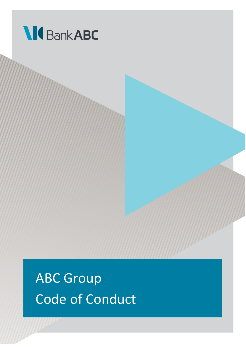

ABC Group Code of Conduct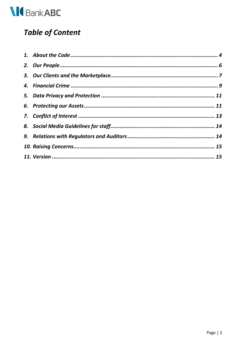

## **Table of Content**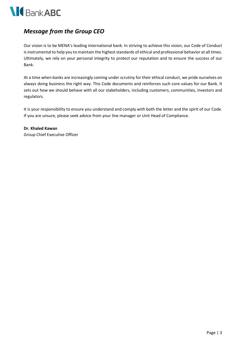

## *Message from the Group CEO*

Our vision is to be MENA's leading international bank. In striving to achieve this vision, our Code of Conduct is instrumental to help you to maintain the highest standards of ethical and professional behavior at all times. Ultimately, we rely on your personal integrity to protect our reputation and to ensure the success of our Bank.

At a time when banks are increasingly coming under scrutiny for their ethical conduct, we pride ourselves on always doing business the right way. This Code documents and reinforces such core values for our Bank. It sets out how we should behave with all our stakeholders, including customers, communities, investors and regulators.

It is your responsibility to ensure you understand and comply with both the letter and the spirit of our Code. If you are unsure, please seek advice from your line manager or Unit Head of Compliance.

**Dr. Khaled Kawan** Group Chief Executive Officer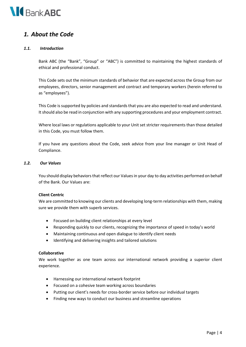

## <span id="page-3-0"></span>*1. About the Code*

#### *1.1. Introduction*

Bank ABC (the "Bank", "Group" or "ABC") is committed to maintaining the highest standards of ethical and professional conduct.

This Code sets out the minimum standards of behavior that are expected across the Group from our employees, directors, senior management and contract and temporary workers (herein referred to as "employees").

This Code is supported by policies and standards that you are also expected to read and understand. Itshould also be read in conjunction with any supporting procedures and your employment contract.

Where local laws or regulations applicable to your Unit set stricter requirements than those detailed in this Code, you must follow them.

If you have any questions about the Code, seek advice from your line manager or Unit Head of Compliance.

#### *1.2. Our Values*

You should display behaviors that reflect our Values in your day to day activities performed on behalf of the Bank. Our Values are:

#### **Client Centric**

We are committed to knowing our clients and developing long-term relationships with them, making sure we provide them with superb services.

- Focused on building client relationships at every level
- Responding quickly to our clients, recognizing the importance of speed in today's world
- Maintaining continuous and open dialogue to identify client needs
- Identifying and delivering insights and tailored solutions

#### **Collaborative**

We work together as one team across our international network providing a superior client experience.

- Harnessing our international network footprint
- Focused on a cohesive team working across boundaries
- Putting our client's needs for cross-border service before our individual targets
- Finding new ways to conduct our business and streamline operations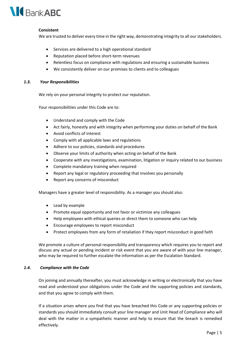

#### **Consistent**

We are trusted to deliver every time in the right way, demonstrating integrity to all our stakeholders.

- Services are delivered to a high operational standard
- Reputation placed before short-term revenues
- Relentless focus on compliance with regulations and ensuring a sustainable business
- We consistently deliver on our promises to clients and to colleagues

#### *1.3. Your Responsibilities*

We rely on your personal integrity to protect our reputation.

Your responsibilities under this Code are to:

- Understand and comply with the Code
- Act fairly, honestly and with integrity when performing your duties on behalf of the Bank
- Avoid conflicts of interest
- Comply with all applicable laws and regulations
- Adhere to our policies, standards and procedures
- Observe your limits of authority when acting on behalf of the Bank
- Cooperate with any investigations, examination, litigation or inquiry related to our business
- Complete mandatory training when required
- Report any legal or regulatory proceeding that involves you personally
- Report any concerns of misconduct

Managers have a greater level of responsibility. As a manager you should also:

- Lead by example
- Promote equal opportunity and not favor or victimize any colleagues
- Help employees with ethical queries or direct them to someone who can help
- Encourage employees to report misconduct
- Protect employees from any form of retaliation if they report misconduct in good faith

We promote a culture of personal responsibility and transparency which requires you to report and discuss any actual or pending incident or risk event that you are aware of with your line manager, who may be required to further escalate the information as per the Escalation Standard*.*

#### *1.4. Compliance with the Code*

On joining and annually thereafter, you must acknowledge in writing or electronically that you have read and understood your obligations under the Code and the supporting policies and standards, and that you agree to comply with them.

If a situation arises where you find that you have breached this Code or any supporting policies or standards you should immediately consult your line manager and Unit Head of Compliance who will deal with the matter in a sympathetic manner and help to ensure that the breach is remedied effectively.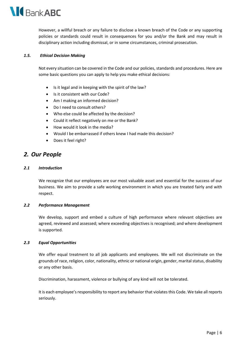

However, a willful breach or any failure to disclose a known breach of the Code or any supporting policies or standards could result in consequences for you and/or the Bank and may result in disciplinary action including dismissal, or in some circumstances, criminal prosecution.

#### *1.5. Ethical Decision Making*

Not every situation can be covered in the Code and our policies, standards and procedures. Here are some basic questions you can apply to help you make ethical decisions:

- Is it legal and in keeping with the spirit of the law?
- Is it consistent with our Code?
- Am I making an informed decision?
- Do I need to consult others?
- Who else could be affected by the decision?
- Could it reflect negatively on me or the Bank?
- How would it look in the media?
- Would I be embarrassed if others knew I had made this decision?
- Does it feel right?

## <span id="page-5-0"></span>*2. Our People*

#### *2.1 Introduction*

We recognize that our employees are our most valuable asset and essential for the success of our business. We aim to provide a safe working environment in which you are treated fairly and with respect.

#### *2.2 Performance Management*

We develop, support and embed a culture of high performance where relevant objectives are agreed, reviewed and assessed; where exceeding objectives is recognised; and where development is supported.

#### *2.3 Equal Opportunities*

We offer equal treatment to all job applicants and employees. We will not discriminate on the grounds of race, religion, color, nationality, ethnic or national origin, gender, marital status, disability or any other basis.

Discrimination, harassment, violence or bullying of any kind will not be tolerated.

It is each employee's responsibility to report any behavior that violates this Code. We take all reports seriously.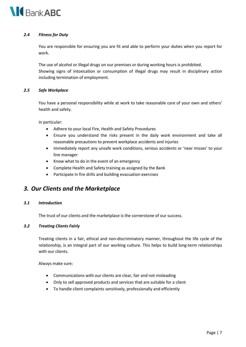

#### *2.4 Fitness for Duty*

You are responsible for ensuring you are fit and able to perform your duties when you report for work.

The use of alcohol or illegal drugs on our premises or during working hours is prohibited. Showing signs of intoxication or consumption of illegal drugs may result in disciplinary action including termination of employment.

#### *2.5 Safe Workplace*

You have a personal responsibility while at work to take reasonable care of your own and others' health and safety.

In particular:

- Adhere to your local Fire, Health and Safety Procedures
- Ensure you understand the risks present in the daily work environment and take all reasonable precautions to prevent workplace accidents and injuries
- Immediately report any unsafe work conditions, serious accidents or 'near misses' to your line manager
- Know what to do in the event of an emergency
- Complete Health and Safety training as assigned by the Bank
- Participate in fire drills and building evacuation exercises

## <span id="page-6-0"></span>*3. Our Clients and the Marketplace*

#### *3.1 Introduction*

The trust of our clients and the marketplace is the cornerstone of our success.

#### *3.2 Treating Clients Fairly*

Treating clients in a fair, ethical and non-discriminatory manner, throughout the life cycle of the relationship, is an integral part of our working culture. This helps to build long-term relationships with our clients.

Always make sure:

- Communications with our clients are clear, fair and not misleading
- Only to sell approved products and services that are suitable for a client
- To handle client complaints sensitively, professionally and efficiently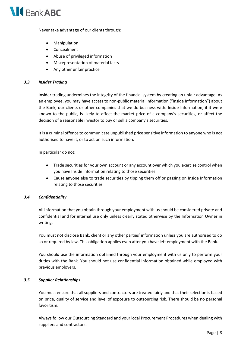

Never take advantage of our clients through:

- **Manipulation**
- Concealment
- Abuse of privileged information
- Misrepresentation of material facts
- Any other unfair practice

#### *3.3 Insider Trading*

Insider trading undermines the integrity of the financial system by creating an unfair advantage. As an employee, you may have access to non-public material information ("Inside Information") about the Bank, our clients or other companies that we do business with. Inside Information, if it were known to the public, is likely to affect the market price of a company's securities, or affect the decision of a reasonable investor to buy or sell a company's securities.

It is a criminal offence to communicate unpublished price sensitive information to anyone who is not authorised to have it, or to act on such information.

In particular do not:

- Trade securities for your own account or any account over which you exercise control when you have Inside Information relating to those securities
- Cause anyone else to trade securities by tipping them off or passing on Inside Information relating to those securities

#### *3.4 Confidentiality*

All information that you obtain through your employment with us should be considered private and confidential and for internal use only unless clearly stated otherwise by the Information Owner in writing.

You must not disclose Bank, client or any other parties' information unless you are authorised to do so or required by law. This obligation applies even after you have left employment with the Bank.

You should use the information obtained through your employment with us only to perform your duties with the Bank. You should not use confidential information obtained while employed with previous employers.

#### *3.5 Supplier Relationships*

You must ensure that all suppliers and contractors are treated fairly and that their selection is based on price, quality of service and level of exposure to outsourcing risk. There should be no personal favoritism.

Always follow our Outsourcing Standard and your local Procurement Procedures when dealing with suppliers and contractors.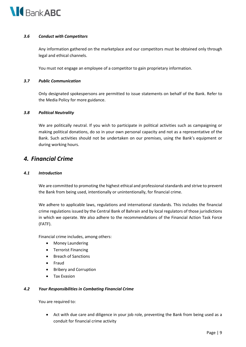

#### *3.6 Conduct with Competitors*

Any information gathered on the marketplace and our competitors must be obtained only through legal and ethical channels.

You must not engage an employee of a competitor to gain proprietary information.

#### *3.7 Public Communication*

Only designated spokespersons are permitted to issue statements on behalf of the Bank. Refer to the Media Policy for more guidance.

#### *3.8 Political Neutrality*

We are politically neutral. If you wish to participate in political activities such as campaigning or making political donations, do so in your own personal capacity and not as a representative of the Bank. Such activities should not be undertaken on our premises, using the Bank's equipment or during working hours.

## <span id="page-8-0"></span>*4. Financial Crime*

#### *4.1 Introduction*

We are committed to promoting the highest ethical and professional standards and strive to prevent the Bank from being used, intentionally or unintentionally, for financial crime.

We adhere to applicable laws, regulations and international standards. This includes the financial crime regulations issued by the Central Bank of Bahrain and by local regulators of those jurisdictions in which we operate. We also adhere to the recommendations of the Financial Action Task Force (FATF).

Financial crime includes, among others:

- Money Laundering
- Terrorist Financing
- Breach of Sanctions
- Fraud
- Bribery and Corruption
- Tax Evasion

#### *4.2 Your Responsibilities in Combating Financial Crime*

You are required to:

• Act with due care and diligence in your job role, preventing the Bank from being used as a conduit for financial crime activity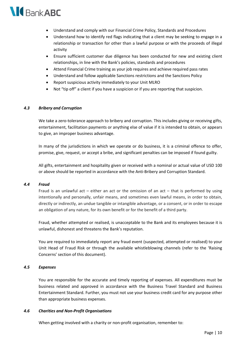

- Understand and comply with our Financial Crime Policy, Standards and Procedures
- Understand how to identify red flags indicating that a client may be seeking to engage in a relationship or transaction for other than a lawful purpose or with the proceeds of illegal activity
- Ensure sufficient customer due diligence has been conducted for new and existing client relationships, in line with the Bank's policies, standards and procedures
- Attend Financial Crime training as your job requires and achieve required pass rates
- Understand and follow applicable Sanctions restrictions and the Sanctions Policy
- Report suspicious activity immediately to your Unit MLRO
- Not "tip off" a client if you have a suspicion or if you are reporting that suspicion.

#### *4.3 Bribery and Corruption*

We take a zero-tolerance approach to bribery and corruption. This includes giving or receiving gifts, entertainment, facilitation payments or anything else of value if it is intended to obtain, or appears to give, an improper business advantage.

In many of the jurisdictions in which we operate or do business, it is a criminal offence to offer, promise, give, request, or accept a bribe, and significant penalties can be imposed if found guilty.

All gifts, entertainment and hospitality given or received with a nominal or actual value of USD 100 or above should be reported in accordance with the Anti-Bribery and Corruption Standard.

#### *4.4 Fraud*

Fraud is an unlawful act – either an act or the omission of an act – that is performed by using intentionally and personally, unfair means, and sometimes even lawful means, in order to obtain, directly or indirectly, an undue tangible or intangible advantage, or a consent, or in order to escape an obligation of any nature, for its own benefit or for the benefit of a third party.

Fraud, whether attempted or realised, is unacceptable to the Bank and its employees because it is unlawful, dishonest and threatens the Bank's reputation.

You are required to immediately report any fraud event (suspected, attempted or realised) to your Unit Head of Fraud Risk or through the available whistleblowing channels (refer to the 'Raising Concerns' section of this document).

#### *4.5 Expenses*

You are responsible for the accurate and timely reporting of expenses. All expenditures must be business related and approved in accordance with the Business Travel Standard and Business Entertainment Standard. Further, you must not use your business credit card for any purpose other than appropriate business expenses.

#### *4.6 Charities and Non-Profit Organisations*

When getting involved with a charity or non-profit organisation, remember to: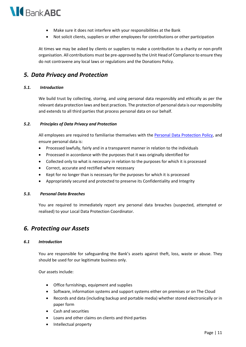

- Make sure it does not interfere with your responsibilities at the Bank
- Not solicit clients, suppliers or other employees for contributions or other participation

At times we may be asked by clients or suppliers to make a contribution to a charity or non-profit organisation. All contributions must be pre-approved by the Unit Head of Compliance to ensure they do not contravene any local laws or regulations and the Donations Policy.

## <span id="page-10-0"></span>*5. Data Privacy and Protection*

#### *5.1. Introduction*

We build trust by collecting, storing, and using personal data responsibly and ethically as per the relevant data protection laws and best practices. The protection of personal data is our responsibility and extends to all third parties that process personal data on our behalf.

#### *5.2. Principles of Data Privacy and Protection*

All employees are required to familiarise themselves with the [Personal Data Protection Policy,](http://inabc.arabbanking.local/sites/PoliciesProcedures/Library/Group/Group%20Personal%20Data%20Protection%20Policy.pdf#search=%22Group%20Cyber,%20IT%20Risk%20Management%20and%20Data%20Protection%22) and ensure personal data is:

- Processed lawfully, fairly and in a transparent manner in relation to the individuals
- Processed in accordance with the purposes that it was originally identified for
- Collected only to what is necessary in relation to the purposes for which it is processed
- Correct, accurate and rectified where necessary
- Kept for no longer than is necessary for the purposes for which it is processed
- Appropriately secured and protected to preserve its Confidentiality and Integrity

#### *5.3. Personal Data Breaches*

You are required to immediately report any personal data breaches (suspected, attempted or realised) to your Local Data Protection Coordinator.

## <span id="page-10-1"></span>*6. Protecting our Assets*

#### *6.1 Introduction*

You are responsible for safeguarding the Bank's assets against theft, loss, waste or abuse. They should be used for our legitimate business only.

Our assets include:

- Office furnishings, equipment and supplies
- Software, information systems and support systems either on premises or on The Cloud
- Records and data (including backup and portable media) whether stored electronically or in paper form
- Cash and securities
- Loans and other claims on clients and third parties
- Intellectual property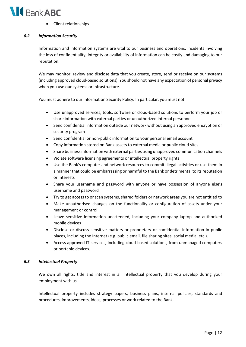

• Client relationships

#### *6.2 Information Security*

Information and information systems are vital to our business and operations. Incidents involving the loss of confidentiality, integrity or availability of information can be costly and damaging to our reputation.

We may monitor, review and disclose data that you create, store, send or receive on our systems (including approved cloud-based solutions). You should not have any expectation of personal privacy when you use our systems or infrastructure.

You must adhere to our Information Security Policy. In particular, you must not:

- Use unapproved services, tools, software or cloud-based solutions to perform your job or share information with external parties or unauthorized internal personnel
- Send confidential information outside our network without using an approved encryption or security program
- Send confidential or non-public information to your personal email account
- Copy information stored on Bank assets to external media or public cloud sites
- Share business information with external parties using unapproved communication channels
- Violate software licensing agreements or intellectual property rights
- Use the Bank's computer and network resources to commit illegal activities or use them in a manner that could be embarrassing or harmful to the Bank or detrimental to its reputation or interests
- Share your username and password with anyone or have possession of anyone else's username and password
- Try to get access to or scan systems, shared folders or network areas you are not entitled to
- Make unauthorised changes on the functionality or configuration of assets under your management or control
- Leave sensitive information unattended, including your company laptop and authorized mobile devices
- Disclose or discuss sensitive matters or proprietary or confidential information in public places, including the Internet (e.g. public email, file sharing sites, social media, etc.).
- Access approved IT services, including cloud-based solutions, from unmanaged computers or portable devices.

#### *6.3 Intellectual Property*

We own all rights, title and interest in all intellectual property that you develop during your employment with us.

Intellectual property includes strategy papers, business plans, internal policies, standards and procedures, improvements, ideas, processes or work related to the Bank.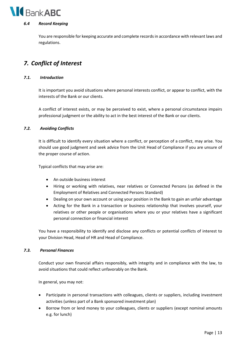# **IC** Bank ABC

#### *6.4 Record Keeping*

You are responsible for keeping accurate and complete records in accordance with relevant laws and regulations.

## <span id="page-12-0"></span>*7. Conflict of Interest*

#### *7.1. Introduction*

It is important you avoid situations where personal interests conflict, or appear to conflict, with the interests of the Bank or our clients.

A conflict of interest exists, or may be perceived to exist, where a personal circumstance impairs professional judgment or the ability to act in the best interest of the Bank or our clients.

#### *7.2. Avoiding Conflicts*

It is difficult to identify every situation where a conflict, or perception of a conflict, may arise. You should use good judgment and seek advice from the Unit Head of Compliance if you are unsure of the proper course of action.

Typical conflicts that may arise are:

- An outside business interest
- Hiring or working with relatives, near relatives or Connected Persons (as defined in the Employment of Relatives and Connected Persons Standard)
- Dealing on your own account or using your position in the Bank to gain an unfair advantage
- Acting for the Bank in a transaction or business relationship that involves yourself, your relatives or other people or organisations where you or your relatives have a significant personal connection or financial interest

You have a responsibility to identify and disclose any conflicts or potential conflicts of interest to your Division Head, Head of HR and Head of Compliance.

#### *7.3. Personal Finances*

Conduct your own financial affairs responsibly, with integrity and in compliance with the law, to avoid situations that could reflect unfavorably on the Bank.

In general, you may not:

- Participate in personal transactions with colleagues, clients or suppliers, including investment activities (unless part of a Bank sponsored investment plan)
- Borrow from or lend money to your colleagues, clients or suppliers (except nominal amounts e.g. for lunch)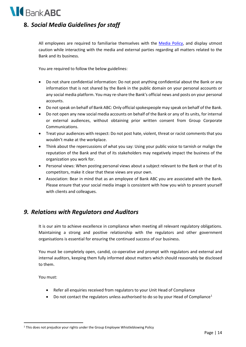

## <span id="page-13-0"></span>**8.** *Social Media Guidelines for staff*

All employees are required to familiarise themselves with the [Media Policy,](http://inabc.arabbanking.local/sites/PoliciesProcedures/Library/Group/Media%20Policy.pdf#search=%22Group%20Corporate%20Communication%22) and display utmost caution while interacting with the media and external parties regarding all matters related to the Bank and its business.

You are required to follow the below guidelines:

- Do not share confidential information: Do not post anything confidential about the Bank or any information that is not shared by the Bank in the public domain on your personal accounts or any social media platform. You may re-share the Bank's official news and posts on your personal accounts.
- Do not speak on behalf of Bank ABC: Only official spokespeople may speak on behalf of the Bank.
- Do not open any new social media accounts on behalf of the Bank or any of its units, for internal or external audiences, without obtaining prior written consent from Group Corporate Communications.
- Treat your audiences with respect: Do not post hate, violent, threat or racist comments that you wouldn't make at the workplace.
- Think about the repercussions of what you say: Using your public voice to tarnish or malign the reputation of the Bank and that of its stakeholders may negatively impact the business of the organization you work for.
- Personal views: When posting personal views about a subject relevant to the Bank or that of its competitors, make it clear that these views are your own.
- Association: Bear in mind that as an employee of Bank ABC you are associated with the Bank. Please ensure that your social media image is consistent with how you wish to present yourself with clients and colleagues.

## <span id="page-13-1"></span>*9. Relations with Regulators and Auditors*

It is our aim to achieve excellence in compliance when meeting all relevant regulatory obligations. Maintaining a strong and positive relationship with the regulators and other government organisations is essential for ensuring the continued success of our business.

You must be completely open, candid, co-operative and prompt with regulators and external and internal auditors, keeping them fully informed about matters which should reasonably be disclosed to them.

You must:

- Refer all enquiries received from regulators to your Unit Head of Compliance
- Do not contact the regulators unless authorised to do so by your Head of Compliance<sup>[1](#page-13-2)</sup>

<span id="page-13-2"></span><sup>&</sup>lt;sup>1</sup> This does not prejudice your rights under the Group Employee Whistleblowing Policy